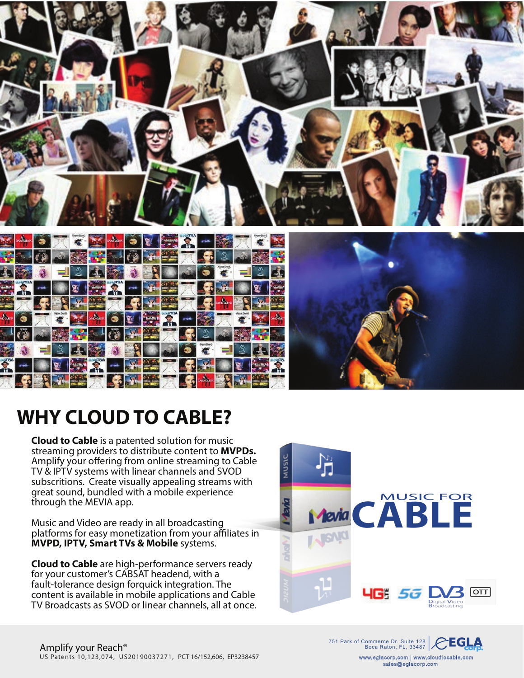

# **WHY CLOUD TO CABLE?**

**Cloud to Cable** is a patented solution for music streaming providers to distribute content to **MVPDs.** Amplify your offering from online streaming to Cable TV & IPTV systems with linear channels and SVOD subscritions. Create visually appealing streams with great sound, bundled with a mobile experience through the MEVIA app.

Music and Video are ready in all broadcasting platforms for easy monetization from your affiliates in **MVPD, IPTV, Smart TVs & Mobile** systems.

**Cloud to Cable** are high-performance servers ready for your customer's CABSAT headend, with a fault-tolerance design forquick integration. The content is available in mobile applications and Cable TV Broadcasts as SVOD or linear channels, all at once.



751 Park of Commerce Dr. Suite 128 **CLA** 



www.eglacorp.com | www.cloudtocable.com sales@eglacorp.com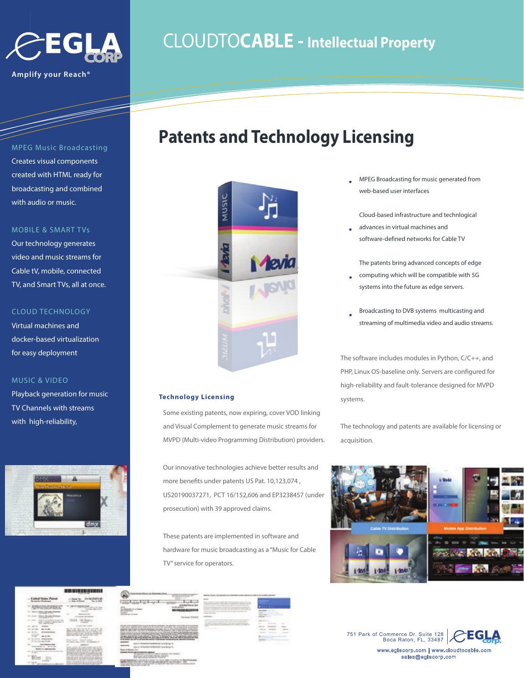

**Amplify your Reach®**

## CLOUDTO**CABLE - Intellectual Property**

**Patents and Technology Licensing**

### MPEG Music Broadcasting

Creates visual components created with HTML ready for broadcasting and combined with audio or music.

### MOBILE & SMART TVs

Our technology generates video and music streams for Cable tV, mobile, connected TV, and Smart TVs, all at once.

### CLOUD TECHNOLOGY

Virtual machines and docker-based virtualization for easy deployment

### MUSIC & VIDEO

Playback generation for music TV Channels with streams with high-reliability,





 $1 - 1 - 1 - 1$ 

# MUSIC

### **Technology Licensing**

Some existing patents, now expiring, cover VOD linking and Visual Complement to generate music streams for MVPD (Multi-video Programming Distribution) providers.

Our innovative technologies achieve better results and more benefits under patents US Pat. 10,123,074, US20190037271, PCT 16/152,606 and EP3238457 (under prosecution) with 39 approved claims.

These patents are implemented in software and hardware for music broadcasting as a "Music for Cable TV" service for operators.





MPEG Broadcasting for music generated from web-based user interfaces

Cloud-based infrastructure and technlogical

advances in virtual machines and software-defined networks for Cable TV

The patents bring advanced concepts of edge

- computing which will be compatible with 5G systems into the future as edge servers.
- Broadcasting to DVB systems multicasting and streaming of multimedia video and audio streams.

The software includes modules in Python, C/C++, and PHP, Linux OS-baseline only. Servers are configured for high-reliability and fault-tolerance designed for MVPD systems.

The technology and patents are available for licensing or acquisition.